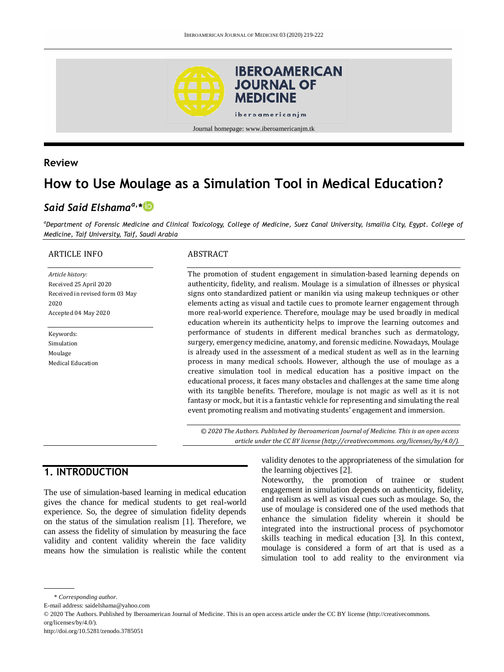

#### **Review**

# **How to Use Moulage as a Simulation Tool in Medical Education?**

# *Said Said Elshamaa,\**

*<sup>a</sup>Department of Forensic Medicine and Clinical Toxicology, College of Medicine, Suez Canal University, Ismailia City, Egypt. College of Medicine, Taif University, Taif, Saudi Arabia*

#### ARTICLE INFO

*Article history:* Received 25 April 2020 Received in revised form 03 May 2020 Accepted 04 May 2020

Keywords: Simulation Moulage Medical Education

#### ABSTRACT

The promotion of student engagement in simulation-based learning depends on authenticity, fidelity, and realism. Moulage is a simulation of illnesses or physical signs onto standardized patient or manikin via using makeup techniques or other elements acting as visual and tactile cues to promote learner engagement through more real-world experience. Therefore, moulage may be used broadly in medical education wherein its authenticity helps to improve the learning outcomes and performance of students in different medical branches such as dermatology, surgery, emergency medicine, anatomy, and forensic medicine. Nowadays, Moulage is already used in the assessment of a medical student as well as in the learning process in many medical schools. However, although the use of moulage as a creative simulation tool in medical education has a positive impact on the educational process, it faces many obstacles and challenges at the same time along with its tangible benefits. Therefore, moulage is not magic as well as it is not fantasy or mock, but it is a fantastic vehicle for representing and simulating the real event promoting realism and motivating students' engagement and immersion.

*© 2020 The Authors. Published by Iberoamerican Journal of Medicine. This is an open access article under the CC BY license (http:/[/creativecommons. org/licenses/by/4.0/\)](https://creativecommons.org/licenses/by/4.0/).*

## **1. INTRODUCTION**

The use of simulation-based learning in medical education gives the chance for medical students to get real-world experience. So, the degree of simulation fidelity depends on the status of the simulation realism [1]. Therefore, we can assess the fidelity of simulation by measuring the face validity and content validity wherein the face validity means how the simulation is realistic while the content

validity denotes to the appropriateness of the simulation for the learning objectives [2].

Noteworthy, the promotion of trainee or student engagement in simulation depends on authenticity, fidelity, and realism as well as visual cues such as moulage. So, the use of moulage is considered one of the used methods that enhance the simulation fidelity wherein it should be integrated into the instructional process of psychomotor skills teaching in medical education [3]. In this context, moulage is considered a form of art that is used as a simulation tool to add reality to the environment via

<sup>\*</sup> *Corresponding author.*

E-mail address: saidelshama@yahoo.com

<sup>© 2020</sup> The Authors. Published by Iberoamerican Journal of Medicine. This is an open access article under the CC BY license (http://creativecommons. org/licenses/by/4.0/).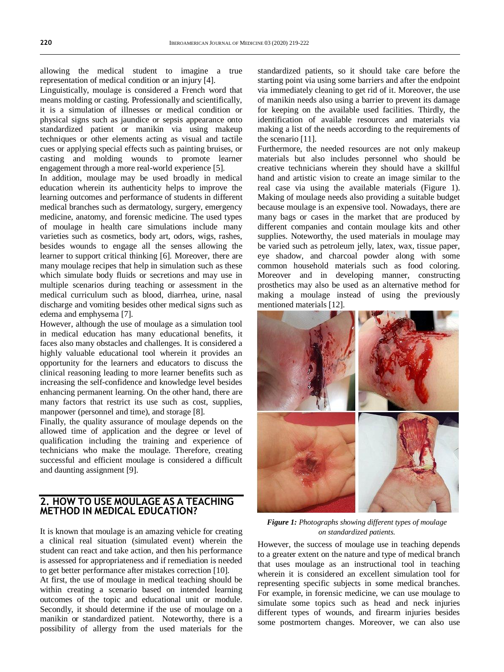allowing the medical student to imagine a true representation of medical condition or an injury [4].

Linguistically, moulage is considered a French word that means molding or casting. Professionally and scientifically, it is a simulation of illnesses or medical condition or physical signs such as jaundice or sepsis appearance onto standardized patient or manikin via using makeup techniques or other elements acting as visual and tactile cues or applying special effects such as painting bruises, or casting and molding wounds to promote learner engagement through a more real-world experience [5].

In addition, moulage may be used broadly in medical education wherein its authenticity helps to improve the learning outcomes and performance of students in different medical branches such as dermatology, surgery, emergency medicine, anatomy, and forensic medicine. The used types of moulage in health care simulations include many varieties such as cosmetics, body art, odors, wigs, rashes, besides wounds to engage all the senses allowing the learner to support critical thinking [6]. Moreover, there are many moulage recipes that help in simulation such as these which simulate body fluids or secretions and may use in multiple scenarios during teaching or assessment in the medical curriculum such as blood, diarrhea, urine, nasal discharge and vomiting besides other medical signs such as edema and emphysema [7].

However, although the use of moulage as a simulation tool in medical education has many educational benefits, it faces also many obstacles and challenges. It is considered a highly valuable educational tool wherein it provides an opportunity for the learners and educators to discuss the clinical reasoning leading to more learner benefits such as increasing the self-confidence and knowledge level besides enhancing permanent learning. On the other hand, there are many factors that restrict its use such as cost, supplies, manpower (personnel and time), and storage [8].

Finally, the quality assurance of moulage depends on the allowed time of application and the degree or level of qualification including the training and experience of technicians who make the moulage. Therefore, creating successful and efficient moulage is considered a difficult and daunting assignment [9].

#### **2. HOW TO USE MOULAGE AS A TEACHING METHOD IN MEDICAL EDUCATION?**

It is known that moulage is an amazing vehicle for creating a clinical real situation (simulated event) wherein the student can react and take action, and then his performance is assessed for appropriateness and if remediation is needed to get better performance after mistakes correction [10].

At first, the use of moulage in medical teaching should be within creating a scenario based on intended learning outcomes of the topic and educational unit or module. Secondly, it should determine if the use of moulage on a manikin or standardized patient. Noteworthy, there is a possibility of allergy from the used materials for the standardized patients, so it should take care before the starting point via using some barriers and after the endpoint via immediately cleaning to get rid of it. Moreover, the use of manikin needs also using a barrier to prevent its damage for keeping on the available used facilities. Thirdly, the identification of available resources and materials via making a list of the needs according to the requirements of the scenario [11].

Furthermore, the needed resources are not only makeup materials but also includes personnel who should be creative technicians wherein they should have a skillful hand and artistic vision to create an image similar to the real case via using the available materials (Figure 1). Making of moulage needs also providing a suitable budget because moulage is an expensive tool. Nowadays, there are many bags or cases in the market that are produced by different companies and contain moulage kits and other supplies. Noteworthy, the used materials in moulage may be varied such as petroleum jelly, latex, wax, tissue paper, eye shadow, and charcoal powder along with some common household materials such as food coloring. Moreover and in developing manner, constructing prosthetics may also be used as an alternative method for making a moulage instead of using the previously mentioned materials [12].



*Figure 1: Photographs showing different types of moulage on standardized patients.*

However, the success of moulage use in teaching depends to a greater extent on the nature and type of medical branch that uses moulage as an instructional tool in teaching wherein it is considered an excellent simulation tool for representing specific subjects in some medical branches. For example, in forensic medicine, we can use moulage to simulate some topics such as head and neck injuries different types of wounds, and firearm injuries besides some postmortem changes. Moreover, we can also use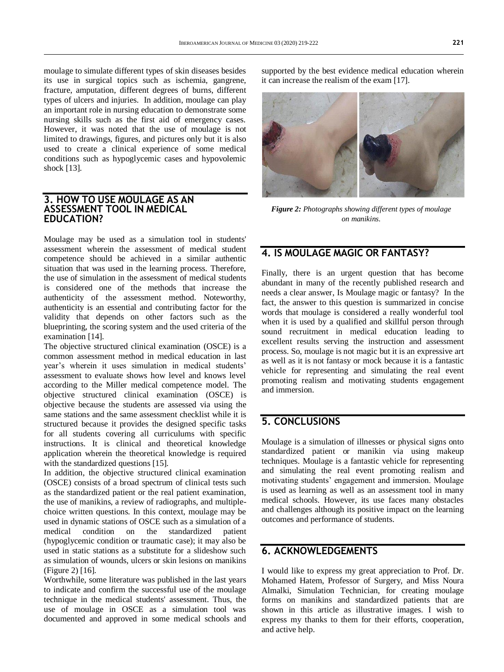moulage to simulate different types of skin diseases besides its use in surgical topics such as ischemia, gangrene, fracture, amputation, different degrees of burns, different types of ulcers and injuries. In addition, moulage can play an important role in nursing education to demonstrate some nursing skills such as the first aid of emergency cases. However, it was noted that the use of moulage is not limited to drawings, figures, and pictures only but it is also used to create a clinical experience of some medical conditions such as hypoglycemic cases and hypovolemic shock [13].

#### **3. HOW TO USE MOULAGE AS AN ASSESSMENT TOOL IN MEDICAL EDUCATION?**

Moulage may be used as a simulation tool in students' assessment wherein the assessment of medical student competence should be achieved in a similar authentic situation that was used in the learning process. Therefore, the use of simulation in the assessment of medical students is considered one of the methods that increase the authenticity of the assessment method. Noteworthy, authenticity is an essential and contributing factor for the validity that depends on other factors such as the blueprinting, the scoring system and the used criteria of the examination [14].

The objective structured clinical examination (OSCE) is a common assessment method in medical education in last year's wherein it uses simulation in medical students' assessment to evaluate shows how level and knows level according to the Miller medical competence model. The objective structured clinical examination (OSCE) is objective because the students are assessed via using the same stations and the same assessment checklist while it is structured because it provides the designed specific tasks for all students covering all curriculums with specific instructions. It is clinical and theoretical knowledge application wherein the theoretical knowledge is required with the standardized questions [15].

In addition, the objective structured clinical examination (OSCE) consists of a broad spectrum of clinical tests such as the standardized patient or the real patient examination, the use of manikins, a review of radiographs, and multiplechoice written questions. In this context, moulage may be used in dynamic stations of OSCE such as a simulation of a medical condition on the standardized patient (hypoglycemic condition or traumatic case); it may also be used in static stations as a substitute for a slideshow such as simulation of wounds, ulcers or skin lesions on manikins (Figure 2) [16].

Worthwhile, some literature was published in the last years to indicate and confirm the successful use of the moulage technique in the medical students' assessment. Thus, the use of moulage in OSCE as a simulation tool was documented and approved in some medical schools and supported by the best evidence medical education wherein it can increase the realism of the exam [17].



*Figure 2: Photographs showing different types of moulage on manikins.*

## **4. IS MOULAGE MAGIC OR FANTASY?**

Finally, there is an urgent question that has become abundant in many of the recently published research and needs a clear answer, Is Moulage magic or fantasy? In the fact, the answer to this question is summarized in concise words that moulage is considered a really wonderful tool when it is used by a qualified and skillful person through sound recruitment in medical education leading to excellent results serving the instruction and assessment process. So, moulage is not magic but it is an expressive art as well as it is not fantasy or mock because it is a fantastic vehicle for representing and simulating the real event promoting realism and motivating students engagement and immersion.

# **5. CONCLUSIONS**

Moulage is a simulation of illnesses or physical signs onto standardized patient or manikin via using makeup techniques. Moulage is a fantastic vehicle for representing and simulating the real event promoting realism and motivating students' engagement and immersion. Moulage is used as learning as well as an assessment tool in many medical schools. However, its use faces many obstacles and challenges although its positive impact on the learning outcomes and performance of students.

## **6. ACKNOWLEDGEMENTS**

I would like to express my great appreciation to Prof. Dr. Mohamed Hatem, Professor of Surgery, and Miss Noura Almalki, Simulation Technician, for creating moulage forms on manikins and standardized patients that are shown in this article as illustrative images. I wish to express my thanks to them for their efforts, cooperation, and active help.